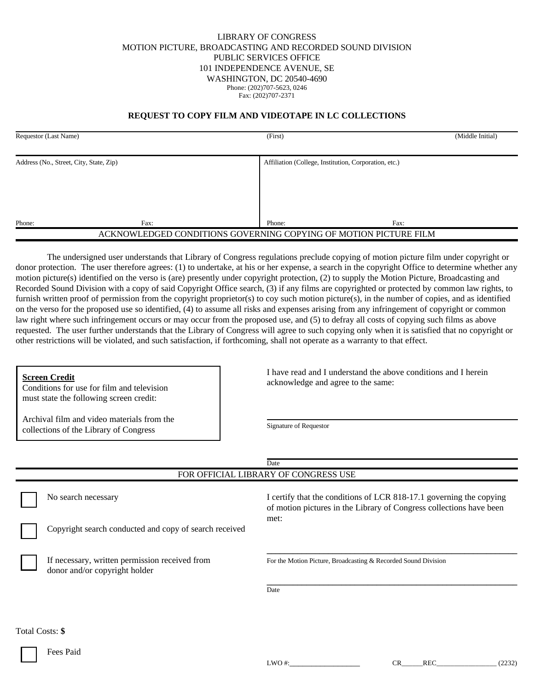## LIBRARY OF CONGRESS MOTION PICTURE, BROADCASTING AND RECORDED SOUND DIVISION PUBLIC SERVICES OFFICE 101 INDEPENDENCE AVENUE, SE WASHINGTON, DC 20540-4690 Phone: (202)707-5623, 0246 Fax: (202)707-2371

## **REQUEST TO COPY FILM AND VIDEOTAPE IN LC COLLECTIONS**

| Requestor (Last Name)                   |      | (First)                                                          | (Middle Initial) |
|-----------------------------------------|------|------------------------------------------------------------------|------------------|
| Address (No., Street, City, State, Zip) |      | Affiliation (College, Institution, Corporation, etc.)            |                  |
|                                         |      |                                                                  |                  |
|                                         |      |                                                                  |                  |
| Phone:                                  | Fax: | Phone:                                                           | Fax:             |
|                                         |      | ACKNOWLEDGED CONDITIONS GOVERNING COPYING OF MOTION PICTURE FILM |                  |

The undersigned user understands that Library of Congress regulations preclude copying of motion picture film under copyright or donor protection. The user therefore agrees: (1) to undertake, at his or her expense, a search in the copyright Office to determine whether any motion picture(s) identified on the verso is (are) presently under copyright protection, (2) to supply the Motion Picture, Broadcasting and Recorded Sound Division with a copy of said Copyright Office search, (3) if any films are copyrighted or protected by common law rights, to furnish written proof of permission from the copyright proprietor(s) to coy such motion picture(s), in the number of copies, and as identified on the verso for the proposed use so identified, (4) to assume all risks and expenses arising from any infringement of copyright or common law right where such infringement occurs or may occur from the proposed use, and (5) to defray all costs of copying such films as above requested. The user further understands that the Library of Congress will agree to such copying only when it is satisfied that no copyright or other restrictions will be violated, and such satisfaction, if forthcoming, shall not operate as a warranty to that effect.

**Screen Credit**

Conditions for use for film and television must state the following screen credit:

Archival film and video materials from the collections of the Library of Congress

 I have read and I understand the above conditions and I herein acknowledge and agree to the same:

Signature of Requestor

|                                                        |                                                                                 | Date                                                                                                                                       |  |  |
|--------------------------------------------------------|---------------------------------------------------------------------------------|--------------------------------------------------------------------------------------------------------------------------------------------|--|--|
|                                                        |                                                                                 | FOR OFFICIAL LIBRARY OF CONGRESS USE                                                                                                       |  |  |
|                                                        | No search necessary                                                             | I certify that the conditions of LCR 818-17.1 governing the copying<br>of motion pictures in the Library of Congress collections have been |  |  |
| Copyright search conducted and copy of search received |                                                                                 | met:                                                                                                                                       |  |  |
|                                                        | If necessary, written permission received from<br>donor and/or copyright holder | For the Motion Picture, Broadcasting & Recorded Sound Division                                                                             |  |  |
|                                                        |                                                                                 | Date                                                                                                                                       |  |  |
| Total Costs: \$                                        |                                                                                 |                                                                                                                                            |  |  |

Fees Paid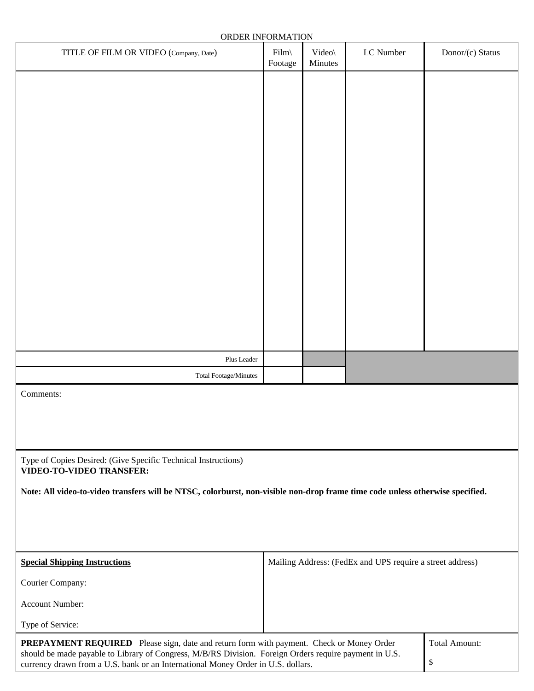| ORDER INFORMATION                                                                                                                                                                          |                                                           |                   |           |                      |
|--------------------------------------------------------------------------------------------------------------------------------------------------------------------------------------------|-----------------------------------------------------------|-------------------|-----------|----------------------|
| TITLE OF FILM OR VIDEO (Company, Date)                                                                                                                                                     | $Film\$<br>Footage                                        | Video\<br>Minutes | LC Number | Donor/(c) Status     |
|                                                                                                                                                                                            |                                                           |                   |           |                      |
|                                                                                                                                                                                            |                                                           |                   |           |                      |
|                                                                                                                                                                                            |                                                           |                   |           |                      |
|                                                                                                                                                                                            |                                                           |                   |           |                      |
|                                                                                                                                                                                            |                                                           |                   |           |                      |
|                                                                                                                                                                                            |                                                           |                   |           |                      |
|                                                                                                                                                                                            |                                                           |                   |           |                      |
|                                                                                                                                                                                            |                                                           |                   |           |                      |
|                                                                                                                                                                                            |                                                           |                   |           |                      |
|                                                                                                                                                                                            |                                                           |                   |           |                      |
|                                                                                                                                                                                            |                                                           |                   |           |                      |
|                                                                                                                                                                                            |                                                           |                   |           |                      |
|                                                                                                                                                                                            |                                                           |                   |           |                      |
|                                                                                                                                                                                            |                                                           |                   |           |                      |
|                                                                                                                                                                                            |                                                           |                   |           |                      |
| Plus Leader                                                                                                                                                                                |                                                           |                   |           |                      |
| <b>Total Footage/Minutes</b>                                                                                                                                                               |                                                           |                   |           |                      |
| Comments:                                                                                                                                                                                  |                                                           |                   |           |                      |
|                                                                                                                                                                                            |                                                           |                   |           |                      |
|                                                                                                                                                                                            |                                                           |                   |           |                      |
| Type of Copies Desired: (Give Specific Technical Instructions)                                                                                                                             |                                                           |                   |           |                      |
| <b>VIDEO-TO-VIDEO TRANSFER:</b>                                                                                                                                                            |                                                           |                   |           |                      |
| Note: All video-to-video transfers will be NTSC, colorburst, non-visible non-drop frame time code unless otherwise specified.                                                              |                                                           |                   |           |                      |
|                                                                                                                                                                                            |                                                           |                   |           |                      |
|                                                                                                                                                                                            |                                                           |                   |           |                      |
|                                                                                                                                                                                            |                                                           |                   |           |                      |
| <b>Special Shipping Instructions</b>                                                                                                                                                       | Mailing Address: (FedEx and UPS require a street address) |                   |           |                      |
| Courier Company:                                                                                                                                                                           |                                                           |                   |           |                      |
| Account Number:                                                                                                                                                                            |                                                           |                   |           |                      |
| Type of Service:                                                                                                                                                                           |                                                           |                   |           |                      |
| PREPAYMENT REQUIRED Please sign, date and return form with payment. Check or Money Order                                                                                                   |                                                           |                   |           | <b>Total Amount:</b> |
| should be made payable to Library of Congress, M/B/RS Division. Foreign Orders require payment in U.S.<br>currency drawn from a U.S. bank or an International Money Order in U.S. dollars. |                                                           |                   |           | \$                   |

currency drawn from a U.S. bank or an International Money Order in U.S. dollars.